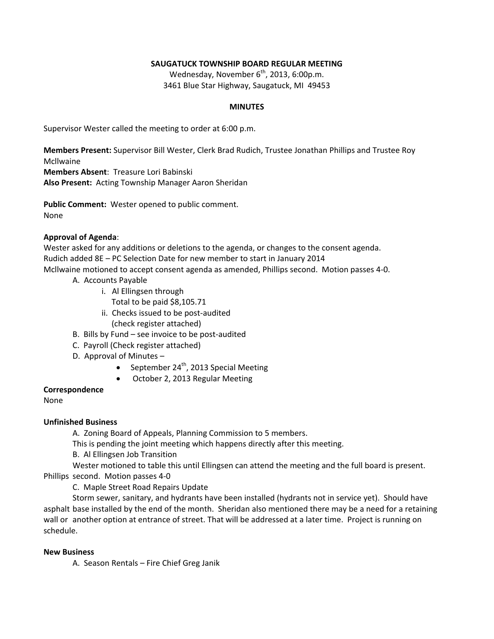### **SAUGATUCK TOWNSHIP BOARD REGULAR MEETING**

Wednesday, November  $6<sup>th</sup>$ , 2013, 6:00p.m. 3461 Blue Star Highway, Saugatuck, MI 49453

### **MINUTES**

Supervisor Wester called the meeting to order at 6:00 p.m.

**Members Present:** Supervisor Bill Wester, Clerk Brad Rudich, Trustee Jonathan Phillips and Trustee Roy Mcllwaine

**Members Absent**: Treasure Lori Babinski

**Also Present:** Acting Township Manager Aaron Sheridan

**Public Comment:** Wester opened to public comment. None

## **Approval of Agenda**:

Wester asked for any additions or deletions to the agenda, or changes to the consent agenda. Rudich added 8E – PC Selection Date for new member to start in January 2014 Mcllwaine motioned to accept consent agenda as amended, Phillips second. Motion passes 4-0.

- A. Accounts Payable
	- i. Al Ellingsen through
		- Total to be paid \$8,105.71
	- ii. Checks issued to be post-audited (check register attached)
- B. Bills by Fund see invoice to be post-audited
- C. Payroll (Check register attached)
- D. Approval of Minutes
	- September 24<sup>th</sup>, 2013 Special Meeting
	- October 2, 2013 Regular Meeting

### **Correspondence**

None

# **Unfinished Business**

A. Zoning Board of Appeals, Planning Commission to 5 members.

This is pending the joint meeting which happens directly after this meeting.

B. Al Ellingsen Job Transition

Wester motioned to table this until Ellingsen can attend the meeting and the full board is present. Phillips second. Motion passes 4-0

C. Maple Street Road Repairs Update

Storm sewer, sanitary, and hydrants have been installed (hydrants not in service yet). Should have asphalt base installed by the end of the month. Sheridan also mentioned there may be a need for a retaining wall or another option at entrance of street. That will be addressed at a later time. Project is running on schedule.

### **New Business**

A. Season Rentals – Fire Chief Greg Janik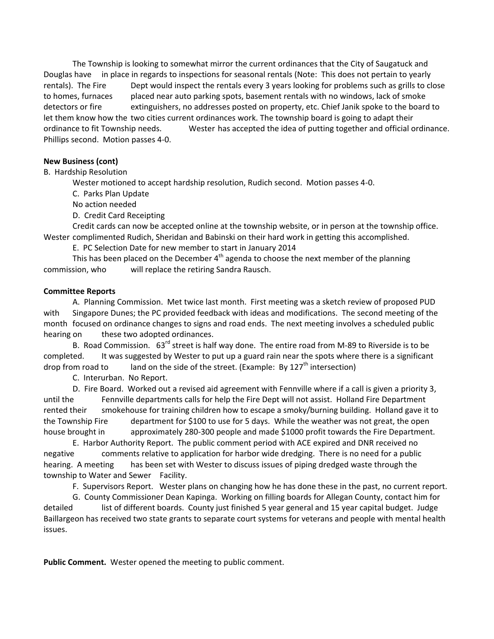The Township is looking to somewhat mirror the current ordinances that the City of Saugatuck and Douglas have in place in regards to inspections for seasonal rentals (Note: This does not pertain to yearly rentals). The Fire Dept would inspect the rentals every 3 years looking for problems such as grills to close to homes, furnaces placed near auto parking spots, basement rentals with no windows, lack of smoke detectors or fire extinguishers, no addresses posted on property, etc. Chief Janik spoke to the board to let them know how the two cities current ordinances work. The township board is going to adapt their ordinance to fit Township needs. Wester has accepted the idea of putting together and official ordinance. Phillips second. Motion passes 4-0.

### **New Business (cont)**

B. Hardship Resolution

Wester motioned to accept hardship resolution, Rudich second. Motion passes 4-0.

C. Parks Plan Update

No action needed

D. Credit Card Receipting

Credit cards can now be accepted online at the township website, or in person at the township office. Wester complimented Rudich, Sheridan and Babinski on their hard work in getting this accomplished.

E. PC Selection Date for new member to start in January 2014

This has been placed on the December  $4<sup>th</sup>$  agenda to choose the next member of the planning commission, who will replace the retiring Sandra Rausch.

### **Committee Reports**

A. Planning Commission. Met twice last month. First meeting was a sketch review of proposed PUD with Singapore Dunes; the PC provided feedback with ideas and modifications. The second meeting of the month focused on ordinance changes to signs and road ends. The next meeting involves a scheduled public hearing on these two adopted ordinances.

B. Road Commission. 63<sup>rd</sup> street is half way done. The entire road from M-89 to Riverside is to be completed. It was suggested by Wester to put up a guard rain near the spots where there is a significant drop from road to land on the side of the street. (Example: By  $127<sup>th</sup>$  intersection)

C. Interurban. No Report.

D. Fire Board. Worked out a revised aid agreement with Fennville where if a call is given a priority 3, until the Fennville departments calls for help the Fire Dept will not assist. Holland Fire Department rented their smokehouse for training children how to escape a smoky/burning building. Holland gave it to the Township Fire department for \$100 to use for 5 days. While the weather was not great, the open house brought in approximately 280-300 people and made \$1000 profit towards the Fire Department.

E. Harbor Authority Report. The public comment period with ACE expired and DNR received no negative comments relative to application for harbor wide dredging. There is no need for a public hearing. A meeting has been set with Wester to discuss issues of piping dredged waste through the township to Water and Sewer Facility.

F. Supervisors Report. Wester plans on changing how he has done these in the past, no current report.

G. County Commissioner Dean Kapinga. Working on filling boards for Allegan County, contact him for detailed list of different boards. County just finished 5 year general and 15 year capital budget. Judge Baillargeon has received two state grants to separate court systems for veterans and people with mental health issues.

**Public Comment.** Wester opened the meeting to public comment.